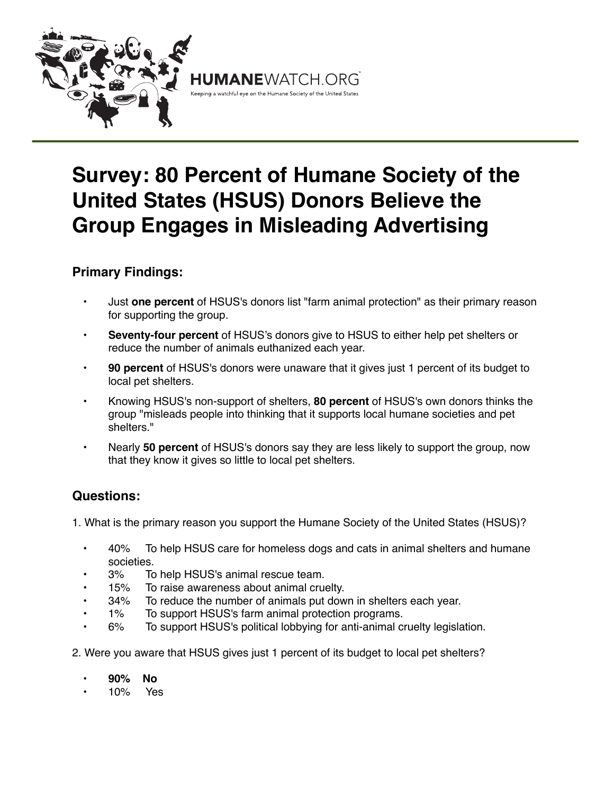

## **Survey: 80 Percent of Humane Society of the United States (HSUS) Donors Believe the Group Engages in Misleading Advertising**

## **Primary Findings:**

- Just **one percent** of HSUS's donors list "farm animal protection" as their primary reason for supporting the group.
- **Seventy-four percent** of HSUS's donors give to HSUS to either help pet shelters or reduce the number of animals euthanized each year.
- **90 percent** of HSUS's donors were unaware that it gives just 1 percent of its budget to local pet shelters.
- Knowing HSUS's non-support of shelters, **80 percent** of HSUS's own donors thinks the group "misleads people into thinking that it supports local humane societies and pet shelters."
- Nearly **50 percent** of HSUS's donors say they are less likely to support the group, now that they know it gives so little to local pet shelters.

## **Questions:**

1. What is the primary reason you support the Humane Society of the United States (HSUS)?

- 40% To help HSUS care for homeless dogs and cats in animal shelters and humane societies.
- 3% To help HSUS's animal rescue team.
- 15% To raise awareness about animal cruelty.
- 34% To reduce the number of animals put down in shelters each year.
- 1% To support HSUS's farm animal protection programs.
- 6% To support HSUS's political lobbying for anti-animal cruelty legislation.
- 2. Were you aware that HSUS gives just 1 percent of its budget to local pet shelters?
	- **• 90% No**
	- 10% Yes